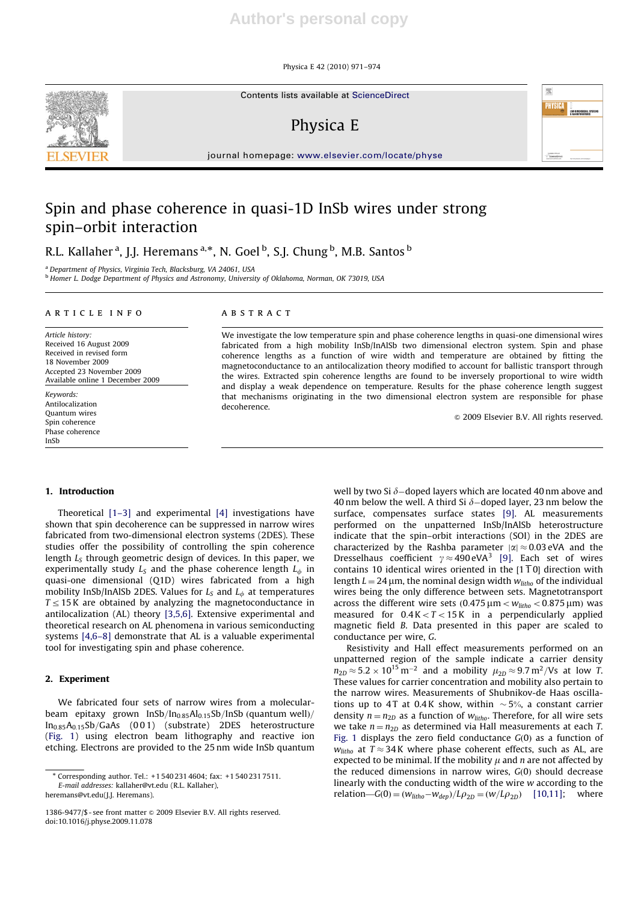Physica E 42 (2010) 971–974

Contents lists available at ScienceDirect

## Physica E

journal homepage: www.elsevier.com/locate/physe

# Spin and phase coherence in quasi-1D InSb wires under strong spin–orbit interaction

R.L. Kallaher<sup>a</sup>, J.J. Heremans<sup>a,\*</sup>, N. Goel <sup>b</sup>, S.J. Chung <sup>b</sup>, M.B. Santos <sup>b</sup>

<sup>a</sup> Department of Physics, Virginia Tech, Blacksburg, VA 24061, USA

<sup>b</sup> Homer L. Dodge Department of Physics and Astronomy, University of Oklahoma, Norman, OK 73019, USA

#### article info

Article history: Received 16 August 2009 Received in revised form 18 November 2009 Accepted 23 November 2009 Available online 1 December 2009 Keywords:

Antilocalization Quantum wires Spin coherence Phase coherence InSb

## **ABSTRACT**

We investigate the low temperature spin and phase coherence lengths in quasi-one dimensional wires fabricated from a high mobility InSb/InAlSb two dimensional electron system. Spin and phase coherence lengths as a function of wire width and temperature are obtained by fitting the magnetoconductance to an antilocalization theory modified to account for ballistic transport through the wires. Extracted spin coherence lengths are found to be inversely proportional to wire width and display a weak dependence on temperature. Results for the phase coherence length suggest that mechanisms originating in the two dimensional electron system are responsible for phase decoherence.

 $\odot$  2009 Elsevier B.V. All rights reserved.

### 1. Introduction

Theoretical [1–3] and experimental [4] investigations have shown that spin decoherence can be suppressed in narrow wires fabricated from two-dimensional electron systems (2DES). These studies offer the possibility of controlling the spin coherence length  $L<sub>S</sub>$  through geometric design of devices. In this paper, we experimentally study  $L<sub>S</sub>$  and the phase coherence length  $L<sub>φ</sub>$  in quasi-one dimensional (Q1D) wires fabricated from a high mobility InSb/InAlSb 2DES. Values for  $L<sub>S</sub>$  and  $L<sub>\phi</sub>$  at temperatures  $T \leq 15$  K are obtained by analyzing the magnetoconductance in antilocalization (AL) theory [3,5,6]. Extensive experimental and theoretical research on AL phenomena in various semiconducting systems [4,6–8] demonstrate that AL is a valuable experimental tool for investigating spin and phase coherence.

## 2. Experiment

We fabricated four sets of narrow wires from a molecularbeam epitaxy grown InSb/In<sub>0.85</sub>Al<sub>0.15</sub>Sb/InSb (quantum well)/  $In<sub>0.85</sub>A<sub>0.15</sub>Sb/GaAs$  (001) (substrate) 2DES heterostructure (Fig. 1) using electron beam lithography and reactive ion etching. Electrons are provided to the 25 nm wide InSb quantum

heremans@vt.edu(J.J. Heremans).

well by two Si  $\delta$ –doped layers which are located 40 nm above and 40 nm below the well. A third Si  $\delta$ -doped layer, 23 nm below the surface, compensates surface states [9]. AL measurements performed on the unpatterned InSb/InAlSb heterostructure indicate that the spin–orbit interactions (SOI) in the 2DES are characterized by the Rashba parameter  $|\alpha| \approx 0.03$  eVA and the Dresselhaus coefficient  $\gamma \approx 490 \text{ eVA}^3$  [9]. Each set of wires contains 10 identical wires oriented in the  $[1\overline{1}0]$  direction with length  $L = 24 \mu m$ , the nominal design width  $w_{litho}$  of the individual wires being the only difference between sets. Magnetotransport across the different wire sets  $(0.475 \,\mu m < w_{litho} < 0.875 \,\mu m)$  was measured for  $0.4 K < T < 15 K$  in a perpendicularly applied magnetic field B. Data presented in this paper are scaled to conductance per wire, G.

Resistivity and Hall effect measurements performed on an unpatterned region of the sample indicate a carrier density  $n_{2D}\,{\approx}\,5.2\times10^{15}\,\mathrm{m}^{-2}$  and a mobility  $\mu_{2D}\,{\approx}\,9.7\,\mathrm{m}^{2}/\mathrm{Vs}$  at low T. These values for carrier concentration and mobility also pertain to the narrow wires. Measurements of Shubnikov-de Haas oscillations up to 4T at 0.4K show, within  $\sim$  5%, a constant carrier density  $n = n_{2D}$  as a function of  $w_{litho}$ . Therefore, for all wire sets we take  $n = n_{2D}$  as determined via Hall measurements at each T. Fig. 1 displays the zero field conductance  $G(0)$  as a function of  $w_{\text{litho}}$  at  $T \approx 34$  K where phase coherent effects, such as AL, are expected to be minimal. If the mobility  $\mu$  and n are not affected by the reduced dimensions in narrow wires,  $G(0)$  should decrease linearly with the conducting width of the wire w according to the relation— $G(0) = (w_{\text{litho}} - w_{\text{dep}})/L\rho_{2D} = (w/L\rho_{2D})$  [10,11]; where





<sup>-</sup> Corresponding author. Tel.: +1 540 231 4604; fax: +1 540 231 7511. E-mail addresses: kallaher@vt.edu (R.L. Kallaher),

<sup>1386-9477/\$ -</sup> see front matter & 2009 Elsevier B.V. All rights reserved. doi:10.1016/j.physe.2009.11.078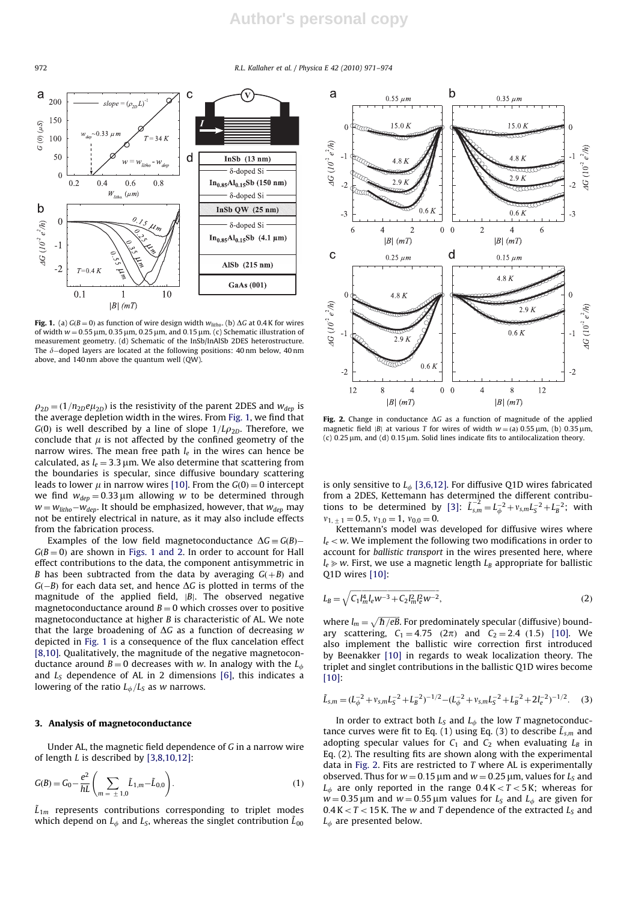## **Author's personal copy**

972 R.L. Kallaher et al. / Physica E 42 (2010) 971–974



Fig. 1. (a)  $G(B = 0)$  as function of wire design width  $w_{\text{litho}}$ . (b)  $\Delta G$  at 0.4 K for wires of width  $w = 0.55$  µm, 0.35 µm, 0.25 µm, and 0.15 µm. (c) Schematic illustration of measurement geometry. (d) Schematic of the InSb/InAlSb 2DES heterostructure. The  $\delta$ –doped layers are located at the following positions: 40 nm below, 40 nm above, and 140 nm above the quantum well (QW).

 $\rho_{2D} = (1/n_{2D}e\mu_{2D})$  is the resistivity of the parent 2DES and  $w_{dep}$  is the average depletion width in the wires. From Fig. 1, we find that  $G(0)$  is well described by a line of slope  $1/L\rho_{2D}$ . Therefore, we conclude that  $\mu$  is not affected by the confined geometry of the narrow wires. The mean free path  $l_e$  in the wires can hence be calculated, as  $l_e = 3.3 \,\mu m$ . We also determine that scattering from the boundaries is specular, since diffusive boundary scattering leads to lower  $\mu$  in narrow wires [10]. From the  $G(0) = 0$  intercept we find  $w_{dep} = 0.33 \,\mu \text{m}$  allowing w to be determined through  $w$   $=$   $w_{litho}-w_{dep.}$  It should be emphasized, however, that  $w_{dep.}$  may not be entirely electrical in nature, as it may also include effects from the fabrication process.

Examples of the low field magnetoconductance  $\Delta G \equiv G(B) G(B = 0)$  are shown in Figs. 1 and 2. In order to account for Hall effect contributions to the data, the component antisymmetric in B has been subtracted from the data by averaging  $G(+B)$  and  $G(-B)$  for each data set, and hence  $\Delta G$  is plotted in terms of the magnitude of the applied field,  $|B|$ . The observed negative magnetoconductance around  $B = 0$  which crosses over to positive magnetoconductance at higher B is characteristic of AL. We note that the large broadening of  $\Delta G$  as a function of decreasing w depicted in Fig. 1 is a consequence of the flux cancelation effect [8,10]. Qualitatively, the magnitude of the negative magnetoconductance around  $B = 0$  decreases with w. In analogy with the  $L_{\phi}$ and  $L<sub>S</sub>$  dependence of AL in 2 dimensions [6], this indicates a lowering of the ratio  $L_{\phi}/L_S$  as w narrows.

#### 3. Analysis of magnetoconductance

Under AL, the magnetic field dependence of G in a narrow wire of length  $L$  is described by  $[3,8,10,12]$ :

$$
G(B) = G_0 - \frac{e^2}{hL} \left( \sum_{m = \pm 1,0} \tilde{L}_{1,m} - \tilde{L}_{0,0} \right).
$$
 (1)

 $\tilde{L}_{1m}$  represents contributions corresponding to triplet modes which depend on  $L_{\phi}$  and  $L_{\text{S}}$ , whereas the singlet contribution  $\tilde{L}_{00}$ 



Fig. 2. Change in conductance  $\Delta G$  as a function of magnitude of the applied magnetic field |B| at various T for wires of width  $w =$  (a) 0.55  $\mu$ m, (b) 0.35  $\mu$ m, (c)  $0.25 \mu$ m, and (d)  $0.15 \mu$ m. Solid lines indicate fits to antilocalization theory.

is only sensitive to  $L_{\phi}$  [3,6,12]. For diffusive Q1D wires fabricated from a 2DES, Kettemann has determined the different contributions to be determined by [3]:  $\tilde{L}_{s,m}^{-2} = L_{\phi}^{-2} + v_{s,m} L_{S}^{-2} + L_{B}^{-2}$ ; with  $v_{1, +1} = 0.5, v_{1,0} = 1, v_{0,0} = 0.$ 

Kettemann's model was developed for diffusive wires where  $l_e < w$ . We implement the following two modifications in order to account for ballistic transport in the wires presented here, where  $l_e \gg w$ . First, we use a magnetic length  $L_B$  appropriate for ballistic Q1D wires [10]:

$$
L_B = \sqrt{C_1 I_m^4 l_e w^{-3} + C_2 I_m^2 l_e^2 w^{-2}},\tag{2}
$$

where  $l_m = \sqrt{\hbar / eB}$ . For predominately specular (diffusive) boundary scattering,  $C_1 = 4.75$   $(2\pi)$  and  $C_2 = 2.4$   $(1.5)$  [10]. We also implement the ballistic wire correction first introduced by Beenakker [10] in regards to weak localization theory. The triplet and singlet contributions in the ballistic Q1D wires become [10]:

$$
\tilde{L}_{s,m} = (L_{\phi}^{-2} + v_{s,m}L_{S}^{-2} + L_{B}^{-2})^{-1/2} - (L_{\phi}^{-2} + v_{s,m}L_{S}^{-2} + L_{B}^{-2} + 2l_{e}^{-2})^{-1/2}.
$$
 (3)

In order to extract both  $L<sub>S</sub>$  and  $L<sub>\phi</sub>$  the low T magnetoconductance curves were fit to Eq. (1) using Eq. (3) to describe  $\tilde{L}_{s,m}$  and adopting specular values for  $C_1$  and  $C_2$  when evaluating  $L_B$  in Eq. (2). The resulting fits are shown along with the experimental data in Fig. 2. Fits are restricted to T where AL is experimentally observed. Thus for  $w = 0.15 \,\mu \text{m}$  and  $w = 0.25 \,\mu \text{m}$ , values for  $L_s$  and  $L_{\phi}$  are only reported in the range  $0.4 K < T < 5 K$ ; whereas for  $w = 0.35 \,\mu \text{m}$  and  $w = 0.55 \,\mu \text{m}$  values for  $L_s$  and  $L_\phi$  are given for  $0.4 K < T < 15 K$ . The w and T dependence of the extracted  $L<sub>S</sub>$  and  $L_{\phi}$  are presented below.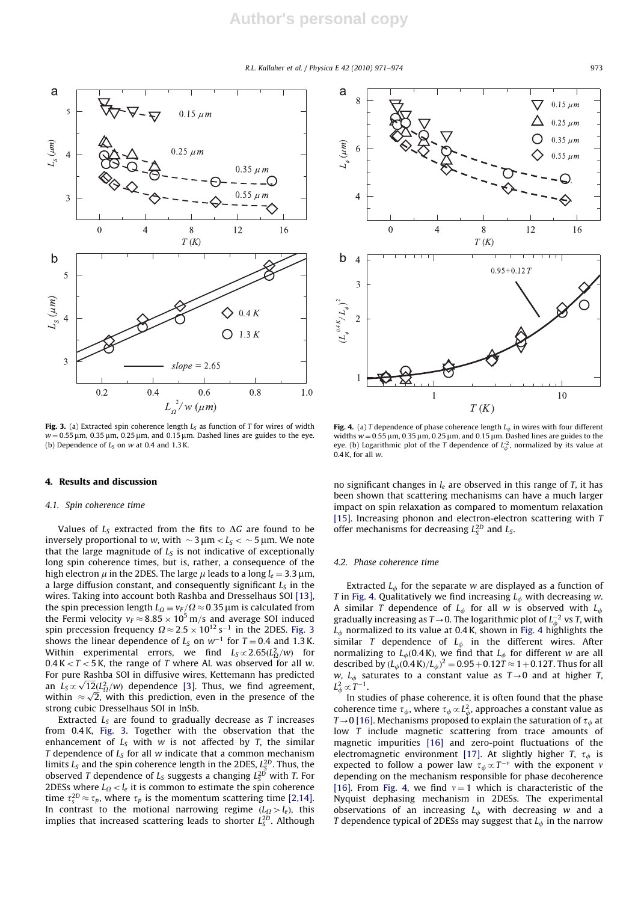#### R.L. Kallaher et al. / Physica E 42 (2010) 971–974 973



Fig. 3. (a) Extracted spin coherence length  $L_S$  as function of T for wires of width  $w = 0.55 \,\mu$ m, 0.35  $\mu$ m, 0.25  $\mu$ m, and 0.15  $\mu$ m. Dashed lines are guides to the eye. (b) Dependence of  $L<sub>S</sub>$  on w at 0.4 and 1.3 K.

#### 4. Results and discussion

#### 4.1. Spin coherence time

Values of  $L<sub>S</sub>$  extracted from the fits to  $\Delta G$  are found to be inversely proportional to w, with  $\sim$  3  $\mu$ m $<$   $L_S$   $<$   $\sim$  5  $\mu$ m. We note that the large magnitude of  $L<sub>S</sub>$  is not indicative of exceptionally long spin coherence times, but is, rather, a consequence of the high electron  $\mu$  in the 2DES. The large  $\mu$  leads to a long  $l_e = 3.3 \,\mu$ m, a large diffusion constant, and consequently significant  $L<sub>S</sub>$  in the wires. Taking into account both Rashba and Dresselhaus SOI [13], the spin precession length  $L_{\Omega}\equiv v_{F}/\Omega\approx 0.35$  µm is calculated from the Fermi velocity  $v_F \approx 8.85 \times 10^5$  m/s and average SOI induced spin precession frequency  $\Omega \approx 2.5 \times 10^{12}\,\rm s^{-1}$  in the 2DES. Fig. 3 shows the linear dependence of  $L_S$  on  $w^{-1}$  for  $T = 0.4$  and 1.3 K. Within experimental errors, we find  $L_S \infty 2.65(L^2_\Omega/w)$  for  $0.4 K < T < 5 K$ , the range of T where AL was observed for all w. For pure Rashba SOI in diffusive wires, Kettemann has predicted For pure Kashba 301 in untusive wries, Kettenlahn has predicted<br>an  $L_S \propto \sqrt{12} (L_Q^2/w)$  dependence [3]. Thus, we find agreement, an  $L_S \propto \sqrt{2}$ , with this prediction, even in the presence of the within  $\approx \sqrt{2}$ , with this prediction, even in the presence of the strong cubic Dresselhaus SOI in InSb.

Extracted  $L<sub>S</sub>$  are found to gradually decrease as T increases from 0.4 K, Fig. 3. Together with the observation that the enhancement of  $L<sub>S</sub>$  with w is not affected by T, the similar T dependence of  $L_S$  for all w indicate that a common mechanism limits  $L_S$  and the spin coherence length in the 2DES,  $L_S^{2D}$ . Thus, the observed T dependence of  $L_S$  suggests a changing  $L_S^{2D}$  with T. For 2DESs where  $L<sub>Q</sub> < l<sub>e</sub>$  it is common to estimate the spin coherence time  $\tau_s^{2D} \approx \tau_p$ , where  $\tau_p$  is the momentum scattering time [2,14]. In contrast to the motional narrowing regime  $(L_{\Omega} > l_e)$ , this implies that increased scattering leads to shorter  $L_S^{2D}$ . Although



Fig. 4. (a) T dependence of phase coherence length  $L_{\phi}$  in wires with four different widths  $w = 0.55 \mu m$ , 0.35  $\mu m$ , 0.25  $\mu m$ , and 0.15  $\mu m$ . Dashed lines are guides to the eye. (b) Logarithmic plot of the T dependence of  $L_{\phi}^2$ , normalized by its value at  $0.4$  K, for all w.

no significant changes in  $l_e$  are observed in this range of T, it has been shown that scattering mechanisms can have a much larger impact on spin relaxation as compared to momentum relaxation [15]. Increasing phonon and electron-electron scattering with T offer mechanisms for decreasing  $L_S^{2D}$  and  $L_S$ .

#### 4.2. Phase coherence time

Extracted  $L_{\phi}$  for the separate w are displayed as a function of T in Fig. 4. Qualitatively we find increasing  $L_{\phi}$  with decreasing w. A similar T dependence of  $L_{\phi}$  for all w is observed with  $L_{\phi}$ gradually increasing as  $T\!\to\!0.$  The logarithmic plot of  $L_\phi^{-2}$  vs T, with  $L_{\phi}$  normalized to its value at 0.4 K, shown in Fig. 4 highlights the similar T dependence of  $L_{\phi}$  in the different wires. After normalizing to  $L_{\phi}$ (0.4 K), we find that  $L_{\phi}$  for different w are all described by  $(L_{\phi}(0.4 \text{ K})/L_{\phi})^2 = 0.95 + 0.12T \approx 1 + 0.12T$ . Thus for all w,  $L_{\phi}$  saturates to a constant value as  $T\rightarrow 0$  and at higher T,  $L^2_\phi\!\propto\!T^{-1}.$ 

In studies of phase coherence, it is often found that the phase coherence time  $\tau_\phi$ , where  $\tau_\phi\!\propto\! L_\phi^2$ , approaches a constant value as  $T\rightarrow 0$  [16]. Mechanisms proposed to explain the saturation of  $\tau_{\phi}$  at low T include magnetic scattering from trace amounts of magnetic impurities [16] and zero-point fluctuations of the electromagnetic environment [17]. At slightly higher T,  $\tau_{\phi}$  is expected to follow a power law  $\tau_{\phi} \propto T^{-\nu}$  with the exponent  $\nu$ depending on the mechanism responsible for phase decoherence [16]. From Fig. 4, we find  $v = 1$  which is characteristic of the Nyquist dephasing mechanism in 2DESs. The experimental observations of an increasing  $L_{\phi}$  with decreasing w and a T dependence typical of 2DESs may suggest that  $L_{\phi}$  in the narrow